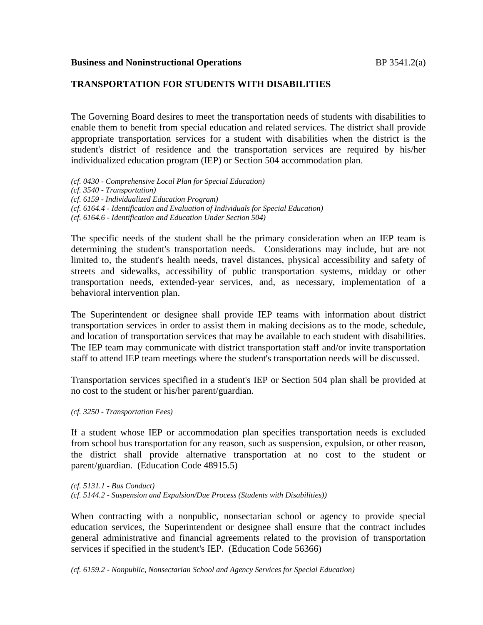## **TRANSPORTATION FOR STUDENTS WITH DISABILITIES**

The Governing Board desires to meet the transportation needs of students with disabilities to enable them to benefit from special education and related services. The district shall provide appropriate transportation services for a student with disabilities when the district is the student's district of residence and the transportation services are required by his/her individualized education program (IEP) or Section 504 accommodation plan.

*(cf. 0430 - Comprehensive Local Plan for Special Education) (cf. 3540 - Transportation) (cf. 6159 - Individualized Education Program) (cf. 6164.4 - Identification and Evaluation of Individuals for Special Education) (cf. 6164.6 - Identification and Education Under Section 504)*

The specific needs of the student shall be the primary consideration when an IEP team is determining the student's transportation needs. Considerations may include, but are not limited to, the student's health needs, travel distances, physical accessibility and safety of streets and sidewalks, accessibility of public transportation systems, midday or other transportation needs, extended-year services, and, as necessary, implementation of a behavioral intervention plan.

The Superintendent or designee shall provide IEP teams with information about district transportation services in order to assist them in making decisions as to the mode, schedule, and location of transportation services that may be available to each student with disabilities. The IEP team may communicate with district transportation staff and/or invite transportation staff to attend IEP team meetings where the student's transportation needs will be discussed.

Transportation services specified in a student's IEP or Section 504 plan shall be provided at no cost to the student or his/her parent/guardian.

*(cf. 3250 - Transportation Fees)*

If a student whose IEP or accommodation plan specifies transportation needs is excluded from school bus transportation for any reason, such as suspension, expulsion, or other reason, the district shall provide alternative transportation at no cost to the student or parent/guardian. (Education Code 48915.5)

*(cf. 5131.1 - Bus Conduct) (cf. 5144.2 - Suspension and Expulsion/Due Process (Students with Disabilities))*

When contracting with a nonpublic, nonsectarian school or agency to provide special education services, the Superintendent or designee shall ensure that the contract includes general administrative and financial agreements related to the provision of transportation services if specified in the student's IEP. (Education Code 56366)

*(cf. 6159.2 - Nonpublic, Nonsectarian School and Agency Services for Special Education)*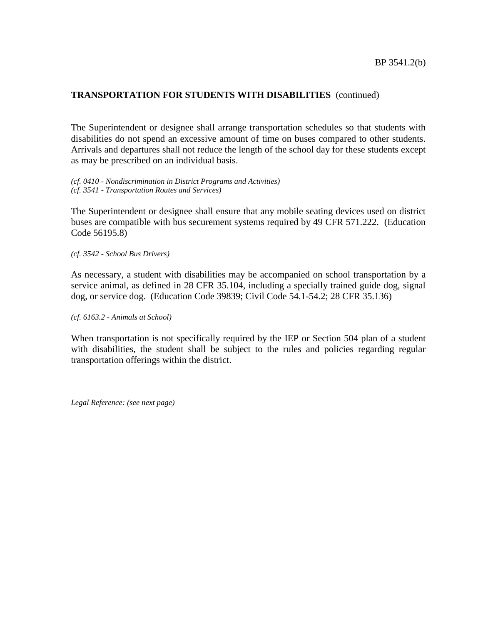## **TRANSPORTATION FOR STUDENTS WITH DISABILITIES** (continued)

The Superintendent or designee shall arrange transportation schedules so that students with disabilities do not spend an excessive amount of time on buses compared to other students. Arrivals and departures shall not reduce the length of the school day for these students except as may be prescribed on an individual basis.

*(cf. 0410 - Nondiscrimination in District Programs and Activities) (cf. 3541 - Transportation Routes and Services)*

The Superintendent or designee shall ensure that any mobile seating devices used on district buses are compatible with bus securement systems required by 49 CFR 571.222. (Education Code 56195.8)

*(cf. 3542 - School Bus Drivers)*

As necessary, a student with disabilities may be accompanied on school transportation by a service animal, as defined in 28 CFR 35.104, including a specially trained guide dog, signal dog, or service dog. (Education Code 39839; Civil Code 54.1-54.2; 28 CFR 35.136)

*(cf. 6163.2 - Animals at School)*

When transportation is not specifically required by the IEP or Section 504 plan of a student with disabilities, the student shall be subject to the rules and policies regarding regular transportation offerings within the district.

*Legal Reference: (see next page)*